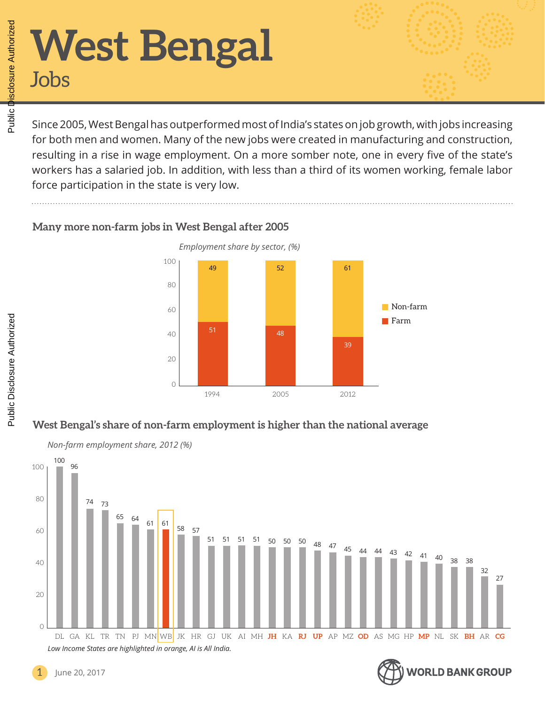# **West Bengal** Jobs

Since 2005, West Bengal has outperformed most of India's states on job growth, with jobs increasing for both men and women. Many of the new jobs were created in manufacturing and construction, resulting in a rise in wage employment. On a more somber note, one in every five of the state's workers has a salaried job. In addition, with less than a third of its women working, female labor force participation in the state is very low.

#### **Many more non-farm jobs in West Bengal after 2005**



### **West Bengal's share of non-farm employment is higher than the national average**





#### June 20, 2017

Public Disclosure Authorized

Public Disclosure Authorized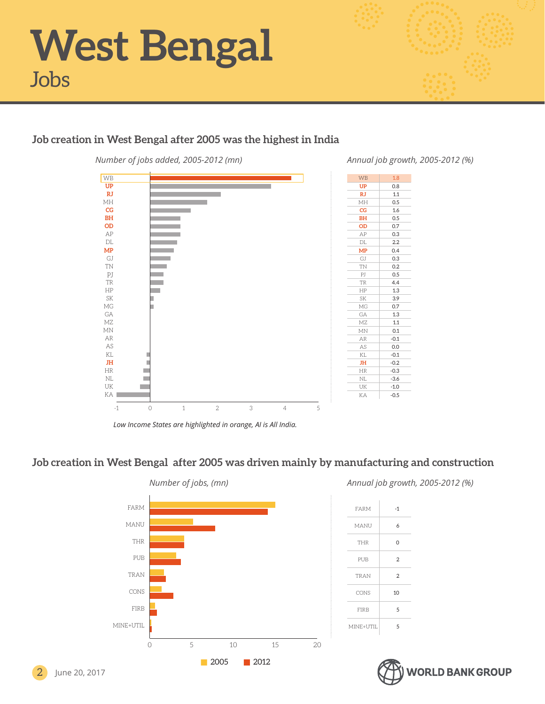

#### **Job creation in West Bengal after 2005 was the highest in India**



*Annual job growth, 2005-2012 (%)*

| 1.1    |
|--------|
| 0.5    |
| 1.6    |
| 0.5    |
| 0.7    |
| 0.3    |
| 2.2    |
| 0.4    |
| 0.3    |
| 0.2    |
| 0.5    |
| 4.4    |
| 1.3    |
| 3.9    |
| 0.7    |
| 1.3    |
| 1.1    |
| 0.1    |
| $-0.1$ |
| 0.0    |
| $-0.1$ |
| $-0.2$ |
| $-0.3$ |
| $-3.6$ |
| $-1.0$ |
| $-0.5$ |
|        |
|        |

WB 1.8 **UP** 0.8

*Low Income States are highlighted in orange, AI is All India.*

#### **Job creation in West Bengal after 2005 was driven mainly by manufacturing and construction**



*Annual job growth, 2005-2012 (%)*

| FARM        | -1             |
|-------------|----------------|
| MANU        | 6              |
| <b>THR</b>  | 0              |
| PUB         | $\overline{2}$ |
| <b>TRAN</b> | $\overline{2}$ |
| CONS        | 10             |
| <b>FIRB</b> | 5              |
| MINE+UTIL   | 5              |

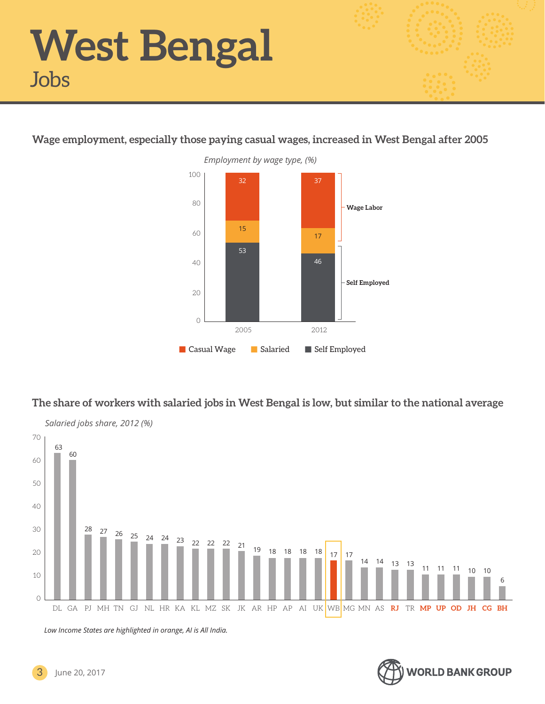#### **Wage employment, especially those paying casual wages, increased in West Bengal after 2005**



#### **The share of workers with salaried jobs in West Bengal is low, but similar to the national average**



*Low Income States are highlighted in orange, AI is All India.*